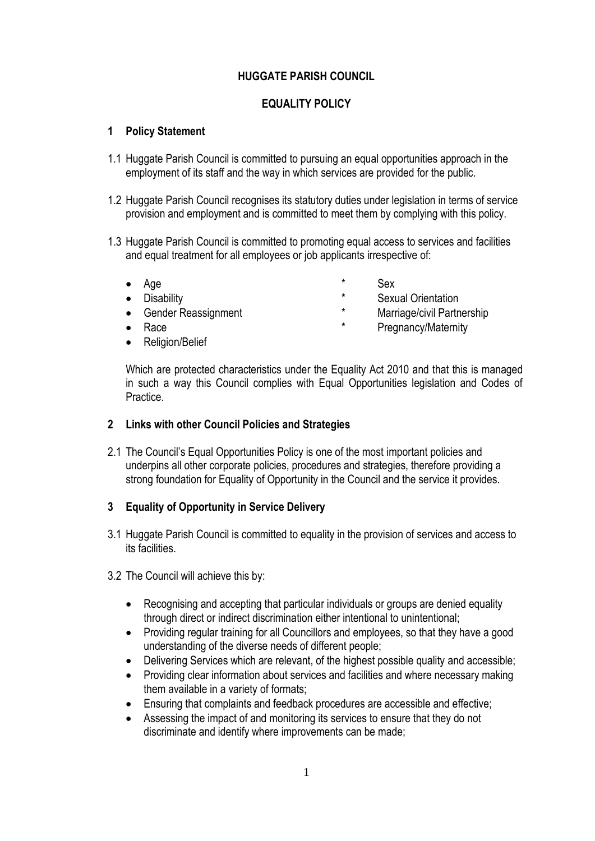# **HUGGATE PARISH COUNCIL**

# **EQUALITY POLICY**

## **1 Policy Statement**

- 1.1 Huggate Parish Council is committed to pursuing an equal opportunities approach in the employment of its staff and the way in which services are provided for the public.
- 1.2 Huggate Parish Council recognises its statutory duties under legislation in terms of service provision and employment and is committed to meet them by complying with this policy.
- 1.3 Huggate Parish Council is committed to promoting equal access to services and facilities and equal treatment for all employees or job applicants irrespective of:
	-
	-
	-
	-
	- Religion/Belief
	- Age  $*$  Sex
	- Disability \* Sexual Orientation
	- Gender Reassignment \* Marriage/civil Partnership
	- Race  $*$  Pregnancy/Maternity

Which are protected characteristics under the Equality Act 2010 and that this is managed in such a way this Council complies with Equal Opportunities legislation and Codes of Practice.

### **2 Links with other Council Policies and Strategies**

2.1 The Council's Equal Opportunities Policy is one of the most important policies and underpins all other corporate policies, procedures and strategies, therefore providing a strong foundation for Equality of Opportunity in the Council and the service it provides.

# **3 Equality of Opportunity in Service Delivery**

- 3.1 Huggate Parish Council is committed to equality in the provision of services and access to its facilities.
- 3.2 The Council will achieve this by:
	- Recognising and accepting that particular individuals or groups are denied equality through direct or indirect discrimination either intentional to unintentional;
	- Providing regular training for all Councillors and employees, so that they have a good understanding of the diverse needs of different people;
	- Delivering Services which are relevant, of the highest possible quality and accessible;
	- Providing clear information about services and facilities and where necessary making them available in a variety of formats;
	- Ensuring that complaints and feedback procedures are accessible and effective;
	- Assessing the impact of and monitoring its services to ensure that they do not discriminate and identify where improvements can be made;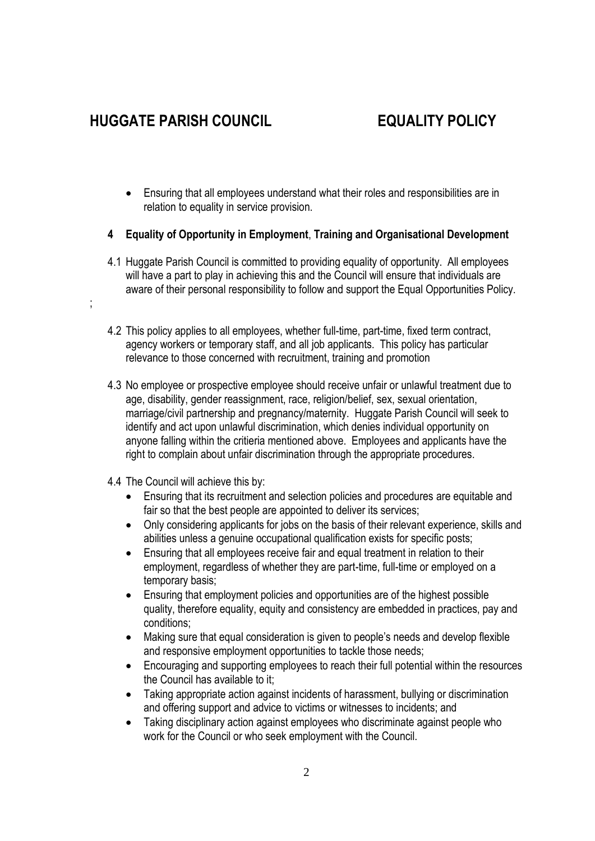;

- Ensuring that all employees understand what their roles and responsibilities are in relation to equality in service provision.
- **4 Equality of Opportunity in Employment**, **Training and Organisational Development**
- 4.1 Huggate Parish Council is committed to providing equality of opportunity. All employees will have a part to play in achieving this and the Council will ensure that individuals are aware of their personal responsibility to follow and support the Equal Opportunities Policy.
- 4.2 This policy applies to all employees, whether full-time, part-time, fixed term contract, agency workers or temporary staff, and all job applicants. This policy has particular relevance to those concerned with recruitment, training and promotion
- 4.3 No employee or prospective employee should receive unfair or unlawful treatment due to age, disability, gender reassignment, race, religion/belief, sex, sexual orientation, marriage/civil partnership and pregnancy/maternity. Huggate Parish Council will seek to identify and act upon unlawful discrimination, which denies individual opportunity on anyone falling within the critieria mentioned above. Employees and applicants have the right to complain about unfair discrimination through the appropriate procedures.
- 4.4 The Council will achieve this by:
	- Ensuring that its recruitment and selection policies and procedures are equitable and fair so that the best people are appointed to deliver its services;
	- Only considering applicants for jobs on the basis of their relevant experience, skills and abilities unless a genuine occupational qualification exists for specific posts;
	- Ensuring that all employees receive fair and equal treatment in relation to their employment, regardless of whether they are part-time, full-time or employed on a temporary basis;
	- Ensuring that employment policies and opportunities are of the highest possible quality, therefore equality, equity and consistency are embedded in practices, pay and conditions;
	- Making sure that equal consideration is given to people's needs and develop flexible and responsive employment opportunities to tackle those needs;
	- Encouraging and supporting employees to reach their full potential within the resources the Council has available to it;
	- Taking appropriate action against incidents of harassment, bullying or discrimination and offering support and advice to victims or witnesses to incidents; and
	- Taking disciplinary action against employees who discriminate against people who work for the Council or who seek employment with the Council.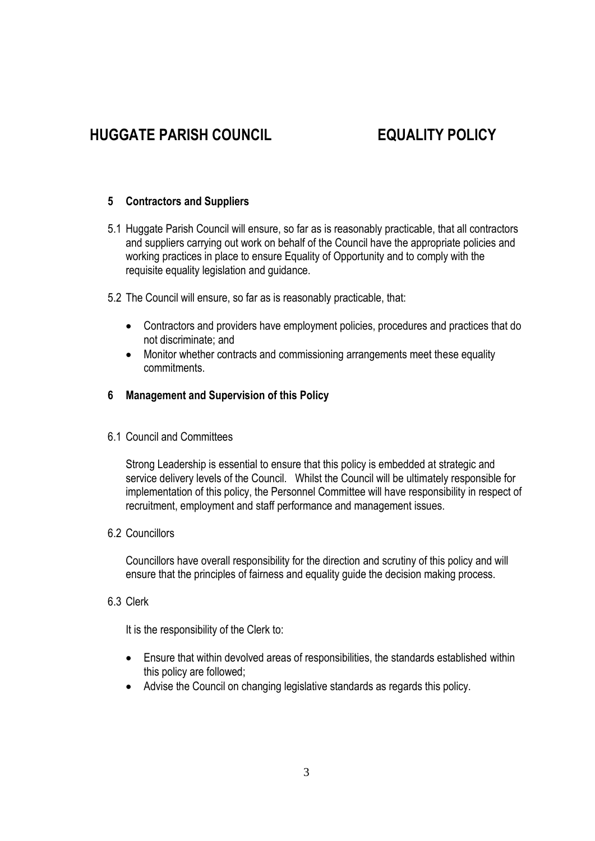## **5 Contractors and Suppliers**

- 5.1 Huggate Parish Council will ensure, so far as is reasonably practicable, that all contractors and suppliers carrying out work on behalf of the Council have the appropriate policies and working practices in place to ensure Equality of Opportunity and to comply with the requisite equality legislation and guidance.
- 5.2 The Council will ensure, so far as is reasonably practicable, that:
	- Contractors and providers have employment policies, procedures and practices that do not discriminate; and
	- Monitor whether contracts and commissioning arrangements meet these equality commitments.

### **6 Management and Supervision of this Policy**

6.1 Council and Committees

Strong Leadership is essential to ensure that this policy is embedded at strategic and service delivery levels of the Council. Whilst the Council will be ultimately responsible for implementation of this policy, the Personnel Committee will have responsibility in respect of recruitment, employment and staff performance and management issues.

6.2 Councillors

Councillors have overall responsibility for the direction and scrutiny of this policy and will ensure that the principles of fairness and equality guide the decision making process.

6.3 Clerk

It is the responsibility of the Clerk to:

- Ensure that within devolved areas of responsibilities, the standards established within this policy are followed;
- Advise the Council on changing legislative standards as regards this policy.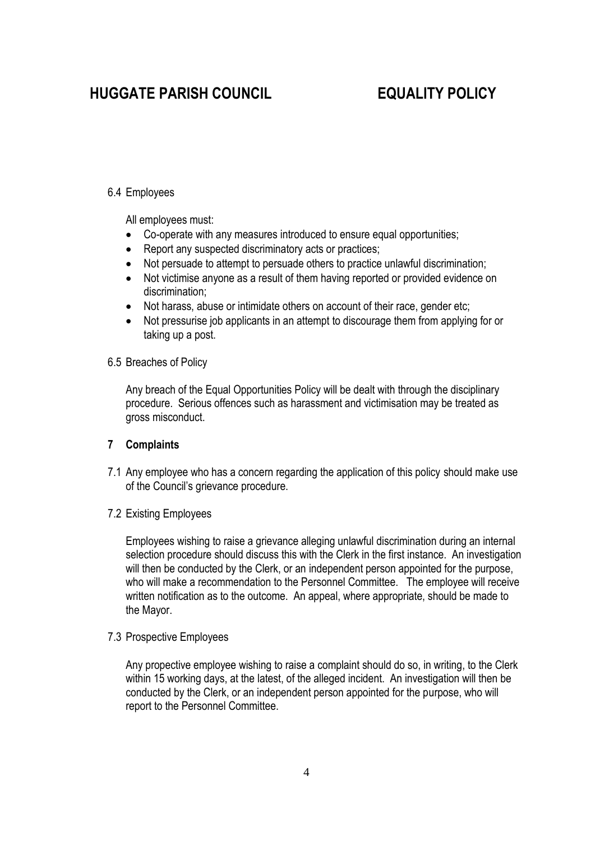### 6.4 Employees

All employees must:

- Co-operate with any measures introduced to ensure equal opportunities;
- Report any suspected discriminatory acts or practices;
- Not persuade to attempt to persuade others to practice unlawful discrimination;
- Not victimise anyone as a result of them having reported or provided evidence on discrimination;
- Not harass, abuse or intimidate others on account of their race, gender etc;
- Not pressurise job applicants in an attempt to discourage them from applying for or taking up a post.

### 6.5 Breaches of Policy

Any breach of the Equal Opportunities Policy will be dealt with through the disciplinary procedure. Serious offences such as harassment and victimisation may be treated as gross misconduct.

### **7 Complaints**

7.1 Any employee who has a concern regarding the application of this policy should make use of the Council's grievance procedure.

### 7.2 Existing Employees

Employees wishing to raise a grievance alleging unlawful discrimination during an internal selection procedure should discuss this with the Clerk in the first instance. An investigation will then be conducted by the Clerk, or an independent person appointed for the purpose, who will make a recommendation to the Personnel Committee. The employee will receive written notification as to the outcome. An appeal, where appropriate, should be made to the Mayor.

### 7.3 Prospective Employees

Any propective employee wishing to raise a complaint should do so, in writing, to the Clerk within 15 working days, at the latest, of the alleged incident. An investigation will then be conducted by the Clerk, or an independent person appointed for the purpose, who will report to the Personnel Committee.